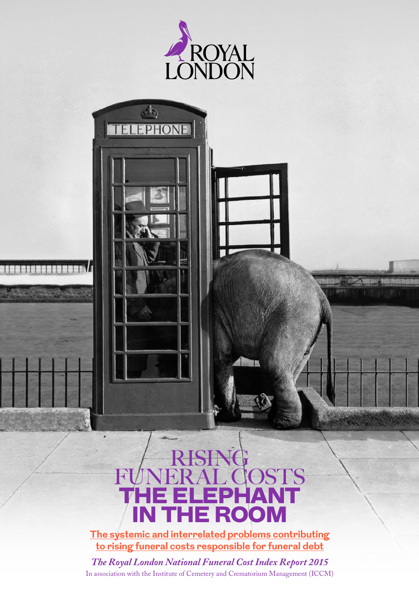

**THE REAL PROPE** 



<u> HALLBAR<sup>6</sup> : AB<sup>Li</sup>ca, MALBAR (HALLBARD) HALLBA</u>

**WHY** 

**The systemic and interrelated problems contributing to rising funeral costs responsible for funeral debt**

*The Royal London National Funeral Cost Index Report 2015* In association with the Institute of Cemetery and Crematorium Management (ICCM)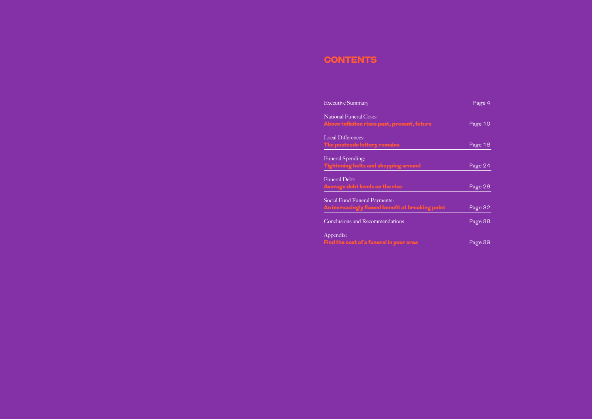# **CONTENTS**

**Executive Summary** 

National Funeral Costs: Above-inflation rises past, present, future

Local Differences: The postcode lottery remains

Funeral Spending: Tightening belts and shopping around

Funeral Debt: Average debt levels on the rise

Social Fund Funeral Payments: An increasingly flawed benefit at breaking point

Conclusions and Recommendations

Appendix: Find the cost of a funeral in your area Page 39

| Page 4                      |
|-----------------------------|
|                             |
| Page 10                     |
|                             |
| Page 18                     |
|                             |
| Page 24                     |
|                             |
| Page 28                     |
|                             |
| Page 32                     |
| Page 38                     |
|                             |
| $D_{\alpha\alpha\alpha}$ 20 |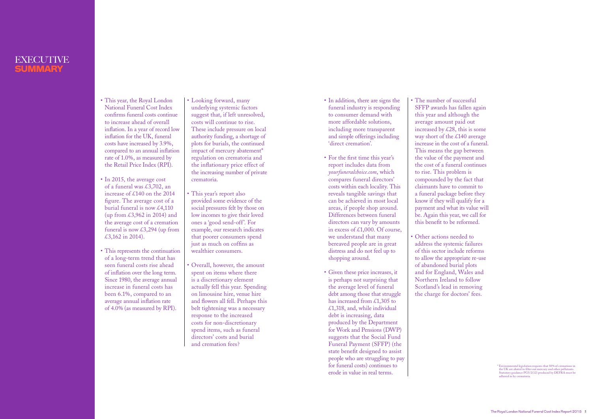# EXECUTIVE SUMMARY

- This year, the Royal London National Funeral Cost Index confirms funeral costs continue to increase ahead of overall inflation. In a year of record low inflation for the UK, funeral costs have increased by 3.9%, compared to an annual inflation rate of 1.0%, as measured by the Retail Price Index (RPI).
- In 2015, the average cost of a funeral was £3,702, an increase of £140 on the 2014 figure. The average cost of a burial funeral is now  $\text{\pounds}4,110$ (up from £3,962 in 2014) and the average cost of a cremation funeral is now  $\text{\pounds}3,294$  (up from £3,162 in 2014).
- This represents the continuation of a long-term trend that has seen funeral costs rise ahead of inflation over the long term. Since 1980, the average annual increase in funeral costs has been 6.1%, compared to an average annual inflation rate of 4.0% (as measured by RPI).
- Looking forward, many underlying systemic factors suggest that, if left unresolved, costs will continue to rise. These include pressure on local authority funding, a shortage of plots for burials, the continued impact of mercury abatement\* regulation on crematoria and the inflationary price effect of the increasing number of private crematoria.
- This year's report also provided some evidence of the social pressures felt by those on low incomes to give their loved ones a 'good send-off'. For example, our research indicates that poorer consumers spend just as much on coffins as wealthier consumers.
- Overall, however, the amount spent on items where there is a discretionary element actually fell this year. Spending on limousine hire, venue hire and flowers all fell. Perhaps this belt tightening was a necessary response to the increased costs for non-discretionary spend items, such as funeral directors' costs and burial and cremation fees?
- In addition, there are signs the funeral industry is responding to consumer demand with more affordable solutions, including more transparent and simple offerings including 'direct cremation'.
- For the first time this year's report includes data from *yourfuneralchoice.com*, which compares funeral directors' costs within each locality. This reveals tangible savings that can be achieved in most local areas, if people shop around. Differences between funeral directors can vary by amounts in excess of £1,000. Of course, we understand that many bereaved people are in great distress and do not feel up to shopping around.
- Given these price increases, it is perhaps not surprising that the average level of funeral debt among those that struggle has increased from £1,305 to  $£1,318,$  and, while individual debt is increasing, data produced by the Department for Work and Pensions (DWP) suggests that the Social Fund Funeral Payment (SFFP) (the state benefit designed to assist people who are struggling to pay for funeral costs) continues to erode in value in real terms.

SFFP awards has fallen again increased by  $\&28$ , this is some way short of the £140 average increase in the cost of a funeral. This means the gap between the value of the payment and the cost of a funeral continues compounded by the fact that claimants have to commit to a funeral package before they know if they will qualify for a payment and what its value will be. Again this year, we call for this benefit to be reformed.

- The number of successful this year and although the average amount paid out to rise. This problem is
- Other actions needed to of abandoned burial plots

address the systemic failures of this sector include reforms to allow the appropriate re-use and for England, Wales and Northern Ireland to follow Scotland's lead in removing the charge for doctors' fees.

<sup>\*</sup> Environmental legislation requires that 50% of cremations in the UK are abated to filter out mercury and other pollutants. Statutory guidance PG5/2(12) produced by DEFRA must be adhered to by crematoria.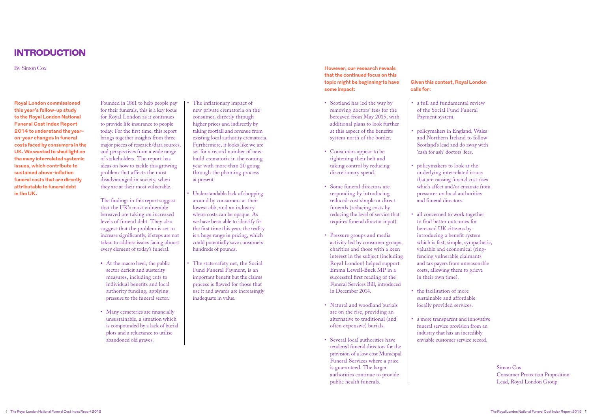- Scotland has led the way by removing doctors' fees for the bereaved from May 2015, with additional plans to look further at this aspect of the benefits system north of the border.
- Consumers appear to be tightening their belt and taking control by reducing discretionary spend.
- Some funeral directors are responding by introducing reduced-cost simple or direct funerals (reducing costs by reducing the level of service that requires funeral director input).
- Pressure groups and media activity led by consumer groups, charities and those with a keen interest in the subject (including Royal London) helped support Emma Lewell-Buck MP in a successful first reading of the Funeral Services Bill, introduced in December 2014.
- Natural and woodland burials are on the rise, providing an alternative to traditional (and often expensive) burials.
- Several local authorities have tendered funeral directors for the provision of a low cost Municipal Funeral Services where a price is guaranteed. The larger authorities continue to provide public health funerals.

all concerned to work together introducing a benefit system which is fast, simple, sympathetic, valuable and economical (ringfencing vulnerable claimants and tax payers from unreasonable costs, allowing them to grieve

a more transparent and innovative funeral service provision from an industry that has an incredibly enviable customer service record.

• a full and fundamental review

• policymakers in England, Wales and Northern Ireland to follow Scotland's lead and do away with

underlying interrelated issues that are causing funeral cost rises which affect and/or emanate from pressures on local authorities

- of the Social Fund Funeral Payment system.
- 'cash for ash' doctors' fees.
- policymakers to look at the and funeral directors.
- to find better outcomes for bereaved UK citizens by in their own time).
- the facilitation of more sustainable and affordable locally provided services.
- 

# INTRODUCTION

By Simon Cox

Founded in 1861 to help people pay for their funerals, this is a key focus for Royal London as it continues to provide life insurance to people today. For the first time, this report brings together insights from three major pieces of research/data sources, and perspectives from a wide range of stakeholders. The report has ideas on how to tackle this growing problem that affects the most disadvantaged in society, when they are at their most vulnerable.

The findings in this report suggest that the UK's most vulnerable bereaved are taking on increased levels of funeral debt. They also suggest that the problem is set to increase significantly, if steps are not taken to address issues facing almost every element of today's funeral.

- **•** At the macro level, the public sector deficit and austerity measures, including cuts to individual benefits and local authority funding, applying pressure to the funeral sector.
- Many cemeteries are financially unsustainable, a situation which is compounded by a lack of burial plots and a reluctance to utilise abandoned old graves.

• The inflationary impact of new private crematoria on the consumer, directly through higher prices and indirectly by taking footfall and revenue from existing local authority crematoria. Furthermore, it looks like we are set for a record number of newbuild crematoria in the coming year with more than 20 going through the planning process at present.

- Understandable lack of shopping around by consumers at their lowest ebb, and an industry where costs can be opaque. As we have been able to identify for the first time this year, the reality is a huge range in pricing, which could potentially save consumers hundreds of pounds.
- The state safety net, the Social Fund Funeral Payment, is an important benefit but the claims process is flawed for those that use it and awards are increasingly inadequate in value.

**Royal London commissioned this year's follow-up study to the Royal London National Funeral Cost Index Report 2014 to understand the yearon-year changes in funeral costs faced by consumers in the UK. We wanted to shed light on the many interrelated systemic issues, which contribute to sustained above-inflation funeral costs that are directly attributable to funeral debt in the UK.**

**However, our research reveals that the continued focus on this topic might be beginning to have some impact:**

> Simon Cox Consumer Protection Proposition Lead, Royal London Group

# **Given this context, Royal London calls for:**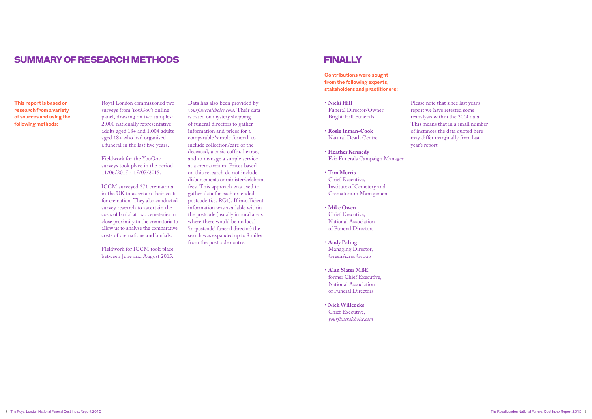Royal London commissioned two surveys from YouGov's online panel, drawing on two samples: 2,000 nationally representative adults aged 18+ and 1,004 adults aged 18+ who had organised a funeral in the last five years.

Fieldwork for the YouGov surveys took place in the period 11/06/2015 - 15/07/2015.

ICCM surveyed 271 crematoria in the UK to ascertain their costs for cremation. They also conducted survey research to ascertain the costs of burial at two cemeteries in close proximity to the crematoria to allow us to analyse the comparative costs of cremations and burials.

Fieldwork for ICCM took place between June and August 2015.

Data has also been provided by *yourfuneralchoice.com*. Their data is based on mystery shopping of funeral directors to gather information and prices for a comparable 'simple funeral' to include collection/care of the deceased, a basic coffin, hearse, and to manage a simple service at a crematorium. Prices based on this research do not include disbursements or minister/celebrant fees. This approach was used to gather data for each extended postcode (i.e. RG1). If insufficient information was available within the postcode (usually in rural areas where there would be no local 'in-postcode' funeral director) the search was expanded up to 8 miles from the postcode centre.

- **Nicki Hill** Funeral Director/Owner, Bright-Hill Funerals
- **Rosie Inman-Cook**  Natural Death Centre
- **Heather Kennedy** Fair Funerals Campaign Manager
- **Tim Morris**  Chief Executive, Institute of Cemetery and Crematorium Management
- **Mike Owen** Chief Executive, National Association of Funeral Directors
- **Andy Paling**  Managing Director, GreenAcres Group
- **Alan Slater MBE**  former Chief Executive, National Association of Funeral Directors
- **Nick Willcocks**  Chief Executive, *yourfuneralchoice.com*

Please note that since last year's report we have retested some reanalysis within the 2014 data. may differ marginally from last year's report.

This means that in a small number of instances the data quoted here

# SUMMARY OF RESEARCH METHODS FINALLY

**This report is based on research from a variety of sources and using the following methods:**

**Contributions were sought from the following experts, stakeholders and practitioners:**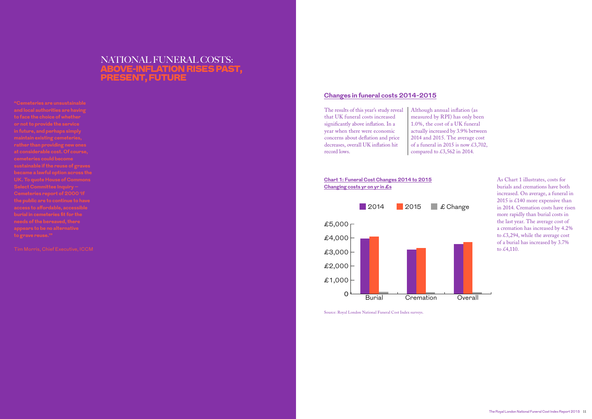# **Changes in funeral costs 2014-2015**

Although annual inflation (as measured by RPI) has only been 1.0%, the cost of a UK funeral actually increased by 3.9% between 2014 and 2015. The average cost of a funeral in 2015 is now £3,702, compared to  $\text{\pounds}3,562$  in 2014.

The results of this year's study reveal that UK funeral costs increased significantly above inflation. In a year when there were economic concerns about deflation and price decreases, overall UK inflation hit record lows.



Source: Royal London National Funeral Cost Index surveys.



### **Chart 1: Funeral Cost Changes 2014 to 2015 Changing costs yr on yr in £s**

As Chart 1 illustrates, costs for burials and cremations have both increased. On average, a funeral in 2015 is £140 more expensive than in 2014. Cremation costs have risen more rapidly than burial costs in the last year. The average cost of a cremation has increased by 4.2% to £3,294, while the average cost of a burial has increased by 3.7% to £4,110.

# NATIONAL FUNERAL COSTS: ABOVE-INFLATION RISES PAST, PRESENT, FUTURE

**"Cemeteries are unsustainable and local authorities are having or not to provide the service rather than providing new ones at considerable cost. Of course, cemeteries could become became a lawful option across the Select Committee Inquiry – Cemeteries report of 2000 'If the public are to continue to have access to affordable, accessible needs of the bereaved, there appears to be no alternative**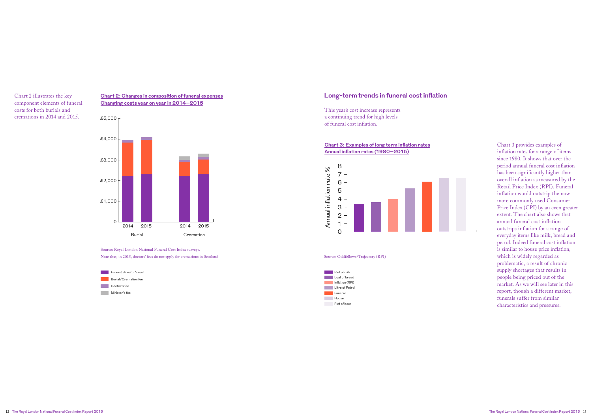### **Long-term trends in funeral cost inflation**

This year's cost increase represents a continuing trend for high levels of funeral cost inflation.



## **Chart 3: Examples of long term inflation rates Annual inflation rates (1980–2015)**

#### Source: Oddfellows/Trajectory (RPI)



Chart 2 illustrates the key component elements of funeral costs for both burials and cremations in 2014 and 2015.

> Source: Royal London National Funeral Cost Index surveys. Note that, in 2015, doctors' fees do not apply for cremations in Scotland



outstrips inflation for a range of annual funeral cost inflation Price Index (CPI) by an even greater more commonly used Consumer Inflation would outstrip the now overall inflation as measured by the Chart 3 provides examples of inflation rates for a range of items since 1980. It shows that over the period annual funeral cost inflation has been significantly higher than Retail Price Index (RPI). Funeral extent. The chart also shows that everyday items like milk, bread and petrol. Indeed funeral cost inflation is similar to house price inflation, which is widely regarded as problematic, a result of chronic supply shortages that results in people being priced out of the market. As we will see later in this report, though a different market, funerals suffer from similar characteristics and pressures.

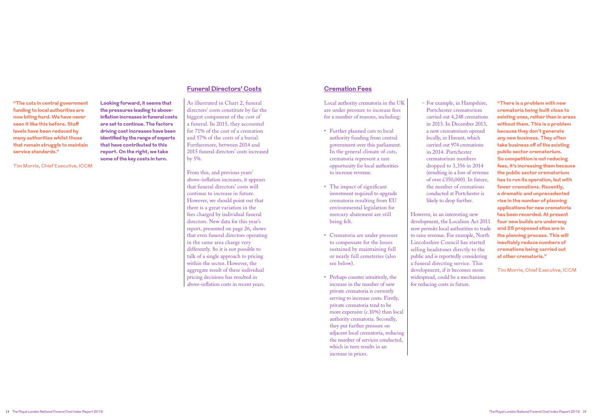# **Funeral Directors' Costs**

As illustrated in Chart 2, funeral directors' costs constitute by far the biggest component of the cost of a funeral. In 2015, they accounted for 71% of the cost of a cremation and 57% of the costs of a burial. Furthermore, between 2014 and 2015 funeral directors' costs increased by 5%.

From this, and previous years' above-inflation increases, it appears that funeral directors' costs will continue to increase in future. However, we should point out that there is a great variation in the fees charged by individual funeral directors. New data for this year's report, presented on page 26, shows that even funeral directors operating in the same area charge very differently. So it is not possible to talk of a single approach to pricing within the sector. However, the aggregate result of these individual pricing decisions has resulted in above-inflation costs in recent years.

**Looking forward, it seems that** 

**the pressures leading to aboveinflation increases in funeral costs are set to continue. The factors driving cost increases have been identified by the range of experts that have contributed to this report. On the right, we take some of the key costs in turn.**

# **Cremation Fees**

- Local authority crematoria in the UK are under pressure to increase fees for a number of reasons, including:
- Further planned cuts to local authority funding from central government over this parliament. In the general climate of cuts, crematoria represent a rare opportunity for local authorities to increase revenue.
- The impact of significant investment required to upgrade crematoria resulting from EU environmental legislation for mercury abatement are still being felt.
- Crematoria are under pressure to compensate for the losses sustained by maintaining full or nearly full cemeteries (also see below).
- Perhaps counter intuitively, the increase in the number of new private crematoria is currently serving to increase costs. Firstly, private crematoria tend to be more expensive (c.10%) than local authority crematoria. Secondly, they put further pressure on adjacent local crematoria, reducing the number of services conducted, which in turn results in an increase in prices.

 – For example, in Hampshire, Portchester crematorium carried out 4,248 cremations in 2013. In December 2013, a new crematorium opened locally, in Havant, which carried out 974 cremations in 2014. Portchester crematorium numbers dropped to 3,356 in 2014 (resulting in a loss of revenue of over £350,000). In future, the number of cremations conducted at Portchester is likely to drop further.

However, in an interesting new development, the Localism Act 2011 now permits local authorities to trade to raise revenue. For example, North Lincolnshire Council has started selling headstones directly to the public and is reportedly considering a funeral directing service. This development, if it becomes more widespread, could be a mechanism for reducing costs in future.

**"The cuts in central government funding to local authorities are now biting hard. We have never seen it like this before. Staff levels have been reduced by many authorities whilst those that remain struggle to maintain service standards."** 

Tim Morris, Chief Executive, ICCM

**"There is a problem with new crematoria being built close to existing ones, rather than in areas without them. This is a problem because they don't generate any new business. They often take business off of the existing public sector crematorium. So competition is not reducing fees, it's increasing them because the public sector crematorium has to run its operation, but with fewer cremations. Recently, a dramatic and unprecedented rise in the number of planning applications for new crematoria has been recorded. At present four new builds are underway and 25 proposed sites are in the planning process. This will inevitably reduce numbers of cremations being carried out at other crematoria."** 

Tim Morris, Chief Executive, ICCM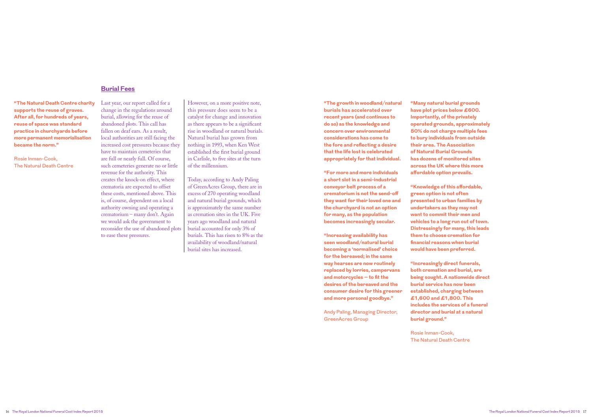**"Many natural burial grounds have plot prices below £600. Importantly, of the privately operated grounds, approximately 50% do not charge multiple fees to bury individuals from outside their area. The Association of Natural Burial Grounds has dozens of monitored sites across the UK where this more affordable option prevails.**

**"Knowledge of this affordable, green option is not often presented to urban families by undertakers as they may not want to commit their men and vehicles to a long run out of town. Distressingly for many, this leads them to choose cremation for financial reasons when burial would have been preferred.**

**"Increasingly direct funerals, both cremation and burial, are being sought. A nationwide direct burial service has now been established, charging between £1,600 and £1,800. This includes the services of a funeral director and burial at a natural burial ground."**

Rosie Inman-Cook, The Natural Death Centre

### **Burial Fees**

Last year, our report called for a change in the regulations around burial, allowing for the reuse of abandoned plots. This call has fallen on deaf ears. As a result, local authorities are still facing the increased cost pressures because they have to maintain cemeteries that are full or nearly full. Of course, such cemeteries generate no or little revenue for the authority. This creates the knock-on effect, where crematoria are expected to offset these costs, mentioned above. This is, of course, dependent on a local authority owning and operating a crematorium – many don't. Again we would ask the government to reconsider the use of abandoned plots to ease these pressures.

However, on a more positive note, this pressure does seem to be a catalyst for change and innovation as there appears to be a significant rise in woodland or natural burials. Natural burial has grown from nothing in 1993, when Ken West established the first burial ground in Carlisle, to five sites at the turn of the millennium.

Today, according to Andy Paling of GreenAcres Group, there are in excess of 270 operating woodland and natural burial grounds, which is approximately the same number as cremation sites in the UK. Five years ago woodland and natural burial accounted for only 3% of burials. This has risen to 8% as the availability of woodland/natural burial sites has increased.

**"The growth in woodland/natural burials has accelerated over recent years (and continues to do so) as the knowledge and concern over environmental considerations has come to the fore and reflecting a desire that the life lost is celebrated appropriately for that individual.**

**"For more and more individuals a short slot in a semi-industrial conveyor belt process of a crematorium is not the send-off they want for their loved one and the churchyard is not an option for many, as the population becomes increasingly secular.**

**"Increasing availability has seen woodland/natural burial becoming a 'normalised' choice for the bereaved; in the same way hearses are now routinely replaced by lorries, campervans and motorcycles – to fit the desires of the bereaved and the consumer desire for this greener and more personal goodbye."** 

Andy Paling, Managing Director, GreenAcres Group

**"The Natural Death Centre charity supports the reuse of graves. After all, for hundreds of years, reuse of space was standard practice in churchyards before more permanent memorialisation became the norm."** 

Rosie Inman-Cook, The Natural Death Centre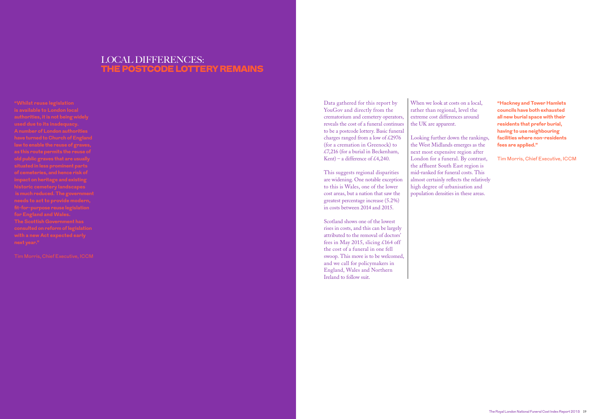Data gathered for this report by YouGov and directly from the crematorium and cemetery operators, reveals the cost of a funeral continues to be a postcode lottery. Basic funeral charges ranged from a low of  $\text{\pounds}2976$ (for a cremation in Greenock) to £7,216 (for a burial in Beckenham, Kent) – a difference of £4,240.

This suggests regional disparities are widening. One notable exception to this is Wales, one of the lower cost areas, but a nation that saw the greatest percentage increase (5.2%) in costs between 2014 and 2015.

Scotland shows one of the lowest rises in costs, and this can be largely attributed to the removal of doctors' fees in May 2015, slicing £164 off the cost of a funeral in one fell swoop. This move is to be welcomed, and we call for policymakers in England, Wales and Northern Ireland to follow suit.

When we look at costs on a local, rather than regional, level the extreme cost differences around the UK are apparent.

Looking further down the rankings, the West Midlands emerges as the next most expensive region after London for a funeral. By contrast, the affluent South East region is mid-ranked for funeral costs. This almost certainly reflects the relatively high degree of urbanisation and population densities in these areas.

# LOCAL DIFFERENCES: THE POSTCODE LOTTERY REMAINS

**"Whilst reuse legislation is available to London local used due to its inadequacy. A number of London authorities have turned to Church of England law to enable the reuse of graves, as this route permits the reuse of of cemeteries, and hence risk of impact on heritage and existing is much reduced. The government fit-for-purpose reuse legislation for England and Wales. The Scottish Government has consulted on reform of legislation** 

**"Hackney and Tower Hamlets councils have both exhausted all new burial space with their residents that prefer burial, having to use neighbouring facilities where non-residents fees are applied."** 

Tim Morris, Chief Executive, ICCM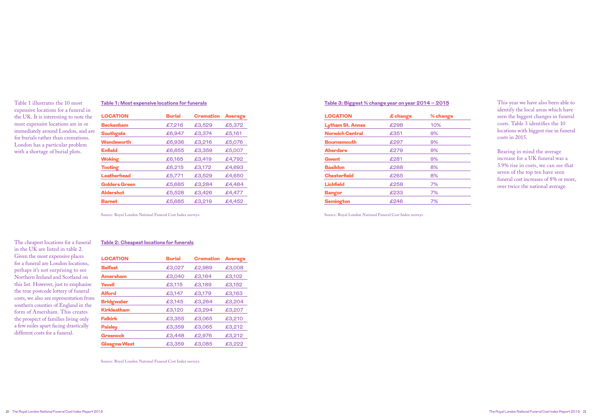### **Table 3: Biggest % change year on year 2014 – 2015**

| <b>LOCATION</b>         | £ change | % change |
|-------------------------|----------|----------|
| <b>Lytham St. Annes</b> | £298     | 10%      |
| <b>Norwich Central</b>  | £351     | 9%       |
| <b>Bournemouth</b>      | £297     | 9%       |
| <b>Aberdare</b>         | £279     | 9%       |
| <b>Gwent</b>            | £281     | 9%       |
| <b>Basildon</b>         | £288     | 8%       |
| <b>Chesterfield</b>     | £265     | 8%       |
| <b>Lichfield</b>        | £258     | 7%       |
| <b>Bangor</b>           | £233     | 7%       |
| <b>Semington</b>        | £246     | 7%       |
|                         |          |          |

Source: Royal London National Funeral Cost Index surveys.

 This year we have also been able to identify the local areas which have seen the biggest changes in funeral costs. Table 3 identifies the 10 locations with biggest rise in funeral costs in 2015.

Bearing in mind the average increase for a UK funeral was a 3.9% rise in costs, we can see that seven of the top ten have seen funeral cost increases of 8% or more, over twice the national average.

## **Table 1: Most expensive locations for funerals**

| <b>LOCATION</b>      | <b>Burial</b> | <b>Cremation</b> | <b>Average</b> |
|----------------------|---------------|------------------|----------------|
| <b>Beckenham</b>     | £7,216        | £3,529           | £5,372         |
| <b>Southgate</b>     | £6,947        | £3,374           | £5,161         |
| Wandsworth           | £6,936        | £3,216           | £5,076         |
| <b>Enfield</b>       | £6,655        | £3,359           | £5,007         |
| <b>Woking</b>        | £6,165        | £3,419           | £4,792         |
| <b>Tooting</b>       | £6,215        | £3,172           | £4,693         |
| <b>Leatherhead</b>   | £5,771        | £3,529           | £4,650         |
| <b>Golders Green</b> | £5,685        | £3,284           | £4,484         |
| <b>Aldershot</b>     | £5,528        | £3,426           | £4,477         |
| <b>Barnet</b>        | £5,685        | £3,219           | £4,452         |
|                      |               |                  |                |

Source: Royal London National Funeral Cost Index surveys.

Table 1 illustrates the 10 most expensive locations for a funeral in the UK. It is interesting to note the most expensive locations are in or immediately around London, and are for burials rather than cremations. London has a particular problem with a shortage of burial plots.

#### **Table 2: Cheapest locations for funerals**

| Given the most expensive places                                           | <b>LOCATION</b>     | <b>Burial</b> | <b>Cremation</b> | <b>Average</b> |
|---------------------------------------------------------------------------|---------------------|---------------|------------------|----------------|
| for a funeral are London locations,<br>perhaps it's not surprising to see | <b>Belfast</b>      | £3,027        | £2,989           | £3,008         |
| Northern Ireland and Scotland on                                          | <b>Amersham</b>     | £3,040        | £3,164           | £3,102         |
| this list. However, just to emphasise                                     | <b>Yeovil</b>       | £3,115        | £3,189           | £3,152         |
| the true postcode lottery of funeral                                      | <b>Alford</b>       | £3,147        | £3,179           | £3,163         |
| costs, we also see representation from                                    | <b>Bridgwater</b>   | £3,145        | £3,264           | £3,204         |
| southern counties of England in the<br>form of Amersham. This creates     | <b>Kirkleatham</b>  | £3,120        | £3,294           | £3,207         |
| the prospect of families living only                                      | <b>Falkirk</b>      | £3,355        | £3,065           | £3,210         |
| a few miles apart facing drastically                                      | <b>Paisley</b>      | £3,359        | £3,065           | £3,212         |
| different costs for a funeral.                                            | <b>Greenock</b>     | £3,448        | £2,976           | £3,212         |
|                                                                           | <b>Glasgow West</b> | £3,359        | £3,085           | £3,222         |

Source: Royal London National Funeral Cost Index surveys.

The cheapest locations for a funeral in the UK are listed in table 2. Given the most expensive places for a funeral are London locations, perhaps it's not surprising to see Northern Ireland and Scotland on this list. However, just to emphasise the true postcode lottery of funeral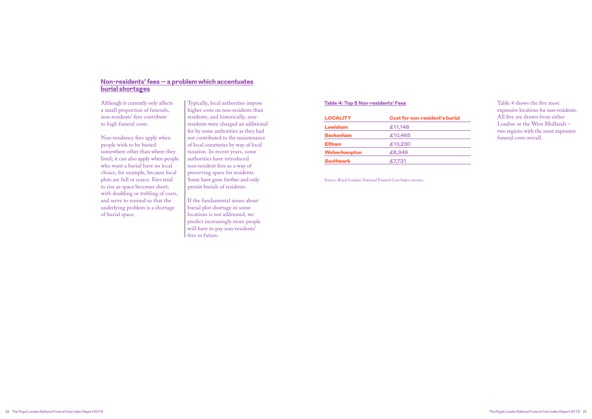# **Non-residents' fees – a problem which accentuates burial shortages**

Although it currently only affects a small proportion of funerals, non-residents' fees contribute to high funeral costs.

Non-residency fees apply when people wish to be buried somewhere other than where they lived; it can also apply when people who want a burial have no local choice, for example, because local plots are full or scarce. Fees tend to rise as space becomes short, with doubling or trebling of costs, and serve to remind us that the underlying problem is a shortage of burial space.

Typically, local authorities impose higher costs on non-residents than residents, and historically, nonresidents were charged an additional fee by some authorities as they had not contributed to the maintenance of local cemeteries by way of local taxation. In recent years, some authorities have introduced non-resident fees as a way of preserving space for residents. Some have gone further and only permit burials of residents.

If the fundamental issues about burial plot shortage in some locations is not addressed, we predict increasingly more people will have to pay non-residents' fees in future.

#### **Table 4: Top 5 Non-residents' Fees**

| <b>LOCALITY</b>  | Cost for non-resident's burial |
|------------------|--------------------------------|
| <b>Lewisham</b>  | £11,148                        |
| <b>Beckenham</b> | £10,465                        |
| <b>Eltham</b>    | £10,230                        |
| Wolverhampton    | £8,349                         |
| <b>Southwark</b> | £7,731                         |

Source: Royal London National Funeral Cost Index surveys.

Table 4 shows the five most expensive locations for non-residents. All five are drawn from either London or the West Midlands – two regions with the most expensive funeral costs overall.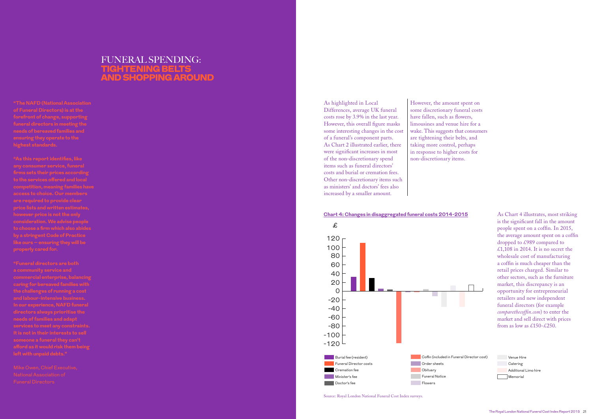# FUNERAL SPENDING: TIGHTENING BELTS AND SHOPPING AROUND

As highlighted in Local Differences, average UK funeral costs rose by 3.9% in the last year. However, this overall figure masks some interesting changes in the cost of a funeral's component parts. As Chart 2 illustrated earlier, there were significant increases in most of the non-discretionary spend items such as funeral directors' costs and burial or cremation fees. Other non-discretionary items such as ministers' and doctors' fees also increased by a smaller amount.

However, the amount spent on some discretionary funeral costs have fallen, such as flowers, limousines and venue hire for a are tightening their belts, and taking more control, perhaps in response to higher costs for non-discretionary items.

wake. This suggests that consumers

 $\text{Cov}$  as  $\&$  150  $\&$  250. market and sell direct with prices funeral directors (for example opportunity for entrepreneurial market, this discrepancy is an retail prices charged. Similar to As Chart 4 illustrates, most striking is the significant fall in the amount people spent on a coffin. In 2015, the average amount spent on a coffin dropped to £989 compared to £1,108 in 2014. It is no secret the wholesale cost of manufacturing a coffin is much cheaper than the other sectors, such as the furniture retailers and new independent comparethecoffin.com) to enter the from as low as £150-£250.

#### **Chart 4: Changes in disaggregated funeral costs 2014-2015**

Source: Royal London National Funeral Cost Index surveys.<br>-120 Order surveys. Catering

Memorial Catering<br>
The Notice of the Notice of the North States and States and States and States and States and States and States and States and States and States and States and States and States and States and States and States an Venue Hire Additional Limo hire

**"The NAFD (National Association of Funeral Directors) is at the forefront of change, supporting funeral directors in meeting the highest standards.** 



**"As this report identifies, like firms sets their prices according to the services offered and local competition, meaning families have access to choice. Our members are required to provide clear price lists and written estimates, consideration. We advise people to choose a firm which also abides by a stringent Code of Practice like ours – ensuring they will be** 

**a community service and commercial enterprise, balancing caring for bereaved families with the challenges of running a cost and labour-intensive business. In our experience, NAFD funeral needs of families and adapt services to meet any constraints.** 

Mike Owen, Chief Executive, Funeral Directors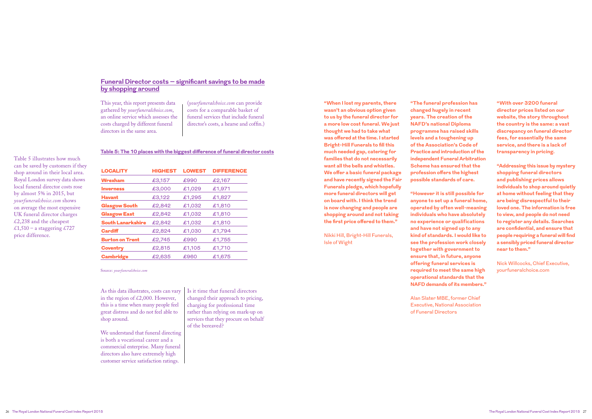This year, this report presents data gathered by *yourfuneralchoice.com*, an online service which assesses the costs charged by different funeral directors in the same area.

(*yourfuneralchoice.com* can provide costs for a comparable basket of funeral services that include funeral director's costs, a hearse and coffin.)

We understand that funeral directing is both a vocational career and a commercial enterprise. Many funeral directors also have extremely high customer service satisfaction ratings.

As this data illustrates, costs can vary in the region of  $\text{\pounds}2,000$ . However, this is a time when many people feel great distress and do not feel able to shop around.

Table 5 illustrates how much can be saved by customers if they shop around in their local area. Royal London survey data shows local funeral director costs rose by almost 5% in 2015, but *yourfuneralchoice.com* shows on average the most expensive UK funeral director charges  $\text{\pounds}2,238$  and the cheapest £1,510 – a staggering £727

> Is it time that funeral directors changed their approach to pricing, charging for professional time rather than relying on mark-up on services that they procure on behalf of the bereaved?

#### **Table 5: The 10 places with the biggest difference of funeral director costs**

Source: *yourfuneralchoice.com*

| <b>LOCALITY</b>          | <b>HIGHEST</b> | <b>LOWEST</b> | <b>DIFFERENCE</b> |
|--------------------------|----------------|---------------|-------------------|
| <b>Wrexham</b>           | £3,157         | £990          | £2,167            |
| <b>Inverness</b>         | £3,000         | £1,029        | £1,971            |
| <b>Havant</b>            | £3,122         | £1,295        | £1,827            |
| <b>Glasgow South</b>     | £2,842         | £1,032        | £1,810            |
| <b>Glasgow East</b>      | £2,842         | £1,032        | £1,810            |
| <b>South Lanarkshire</b> | £2,842         | £1,032        | £1,810            |
| <b>Cardiff</b>           | £2,824         | £1,030        | £1,794            |
| <b>Burton on Trent</b>   | £2,745         | £990          | £1,755            |
| <b>Coventry</b>          | £2,815         | £1,105        | £1,710            |
| <b>Cambridge</b>         | £2,635         | £960          | £1,675            |

price difference.

## **Funeral Director costs – significant savings to be made by shopping around**

**"When I lost my parents, there wasn't an obvious option given to us by the funeral director for a more low cost funeral. We just thought we had to take what was offered at the time. I started Bright-Hill Funerals to fill this much needed gap, catering for families that do not necessarily want all the bells and whistles. We offer a basic funeral package and have recently signed the Fair Funerals pledge, which hopefully more funeral directors will get on board with. I think the trend is now changing and people are shopping around and not taking the first price offered to them."**

Nikki Hill, Bright-Hill Funerals, Isle of Wight

**"The funeral profession has changed hugely in recent years. The creation of the NAFD's national Diploma programme has raised skills levels and a toughening up of the Association's Code of Practice and introduction of the independent Funeral Arbitration Scheme has ensured that the profession offers the highest possible standards of care.**

**"However it is still possible for anyone to set up a funeral home, operated by often well-meaning individuals who have absolutely no experience or qualifications and have not signed up to any kind of standards. I would like to see the profession work closely together with government to ensure that, in future, anyone offering funeral services is required to meet the same high operational standards that the NAFD demands of its members."**

Alan Slater MBE, former Chief Executive, National Association of Funeral Directors

**"With over 3200 funeral director prices listed on our website, the story throughout the country is the same: a vast discrepancy on funeral director fees, for essentially the same service, and there is a lack of transparency in pricing.** 

**"Addressing this issue by mystery shopping funeral directors and publishing prices allows individuals to shop around quietly at home without feeling that they are being disrespectful to their loved one. The information is free to view, and people do not need to register any details. Searches are confidential, and ensure that people requiring a funeral will find a sensibly priced funeral director near to them."**

Nick Willcocks, Chief Executive, yourfuneralchoice.com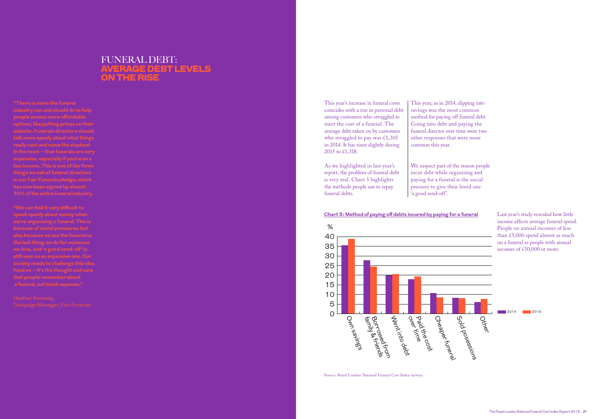0 5 10 10 15 15 20 20 over time Paid the cost Went into debt Own savings family & friends Borrowed from  $\tilde{a}$  $\frac{1}{\sqrt{2}}$ Sour is the function of the second response to the second response to the second response to the second respon<br>Cheaper function of the second response to the second response to the second response to the second response t<br> mentintod<br>Hentintod Paid time Own savin e family & friends<br>Borrisy & friends<br>Family & friends

# 25 25 30 30 35 35 40 40  $\%$  $\%$

This year's increase in funeral costs coincides with a rise in personal debt among customers who struggled to meet the cost of a funeral. The average debt taken on by customers who struggled to pay was £1,305 in 2014. It has risen slightly during 2015 to £1,318.

# FUNERAL DEBT: E DEBT LEVELS ON THE RISE

As we highlighted in last year's report, the problem of funeral debt is very real. Chart 5 highlights the methods people use to repay funeral debts.

This year, as in 2014, dipping into savings was the most common method for paying off funeral debt. Going into debt and paying the funeral director over time were two other responses that were more common this year.

We suspect part of the reason people incur debt while organising and paying for a funeral is the social pressure to give their loved one 'a good send-off'.

> Last year's study revealed how little income affects average funeral spend. People on annual incomes of less than £5,000 spend almost as much on a funeral as people with annual incomes of £50,000 or more.

### **Chart 5: Method of paying off debts incured by paying for a funeral**



Source: Royal London National Funeral Cost Index surveys.



**"There is more the funeral industry can and should do to help options, like putting prices on their website. Funerals directors should really cost and name the elephant in the room – that funerals are very expensive, especially if you're on a things we ask of funeral directors in our Fair Funerals pledge, which has now been signed by almost 10% of the entire funeral industry.** 

**we're organising a funeral. This is because of social pressures but we love, and 'a good send-off' is still seen as an expensive one. Our society needs to challenge this idea head on – it's the thought and care** 

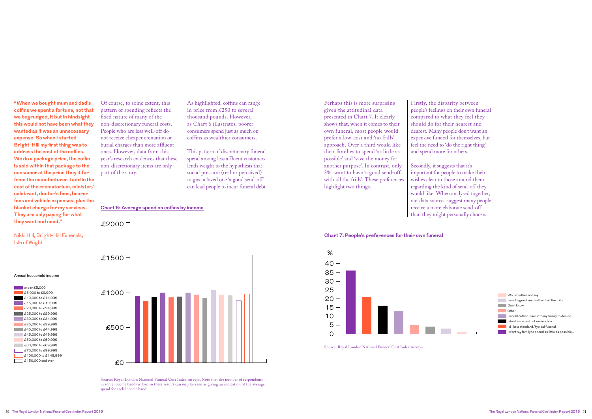

Of course, to some extent, this pattern of spending reflects the fixed nature of many of the non-discretionary funeral costs. People who are less well-off do not receive cheaper cremation or burial charges than more affluent ones. However, data from this year's research evidences that these non-discretionary items are only part of the story.

As highlighted, coffins can range in price from £250 to several thousand pounds. However, as Chart 6 illustrates, poorer consumers spend just as much on coffins as wealthier consumers.

This pattern of discretionary funeral spend among less affluent customers lends weight to the hypothesis that social pressure (real or perceived) to give a loved one 'a good send-off' can lead people to incur funeral debt.

#### **Chart 6: Average spend on coffins by income**

Source: Royal London National Funeral Cost Index surveys. Note that the number of respondents in some income bands is low, so these results can only be seen as giving an indication of the average spend for each income band





Source: Royal London National Funeral Cost Index surveys.



Perhaps this is more surprising given the attitudinal data presented in Chart 7. It clearly shows that, when it comes to their own funeral, most people would prefer a low-cost and 'no frills' approach. Over a third would like their families to spend 'as little as possible' and 'save the money for another purpose'. In contrast, only 3% want to have 'a good send-off with all the frills'. These preferences highlight two things.

Firstly, the disparity between people's feelings on their own funeral compared to what they feel they should do for their nearest and dearest. Many people don't want an expensive funeral for themselves, but feel the need to 'do the right thing' and spend more for others.

Secondly, it suggests that it's important for people to make their wishes clear to those around them regarding the kind of send-off they would like. When analysed together, our data sources suggest many people receive a more elaborate send-off than they might personally choose.

# **Chart 7: People's preferences for their own funeral**

**"When we bought mum and dad's coffins we spent a fortune, not that we begrudged, it but in hindsight this would not have been what they wanted as it was an unnecessary expense. So when I started Bright-Hill my first thing was to address the cost of the coffins. We do a package price, the coffin is sold within that package to the consumer at the price I buy it for from the manufacturer. I add in the cost of the crematorium, minister/ celebrant, doctor's fees, bearer fees and vehicle expenses, plus the blanket charge for my services. They are only paying for what they want and need."**

Nikki Hill, Bright-Hill Funerals, Isle of Wight

#### Annual household income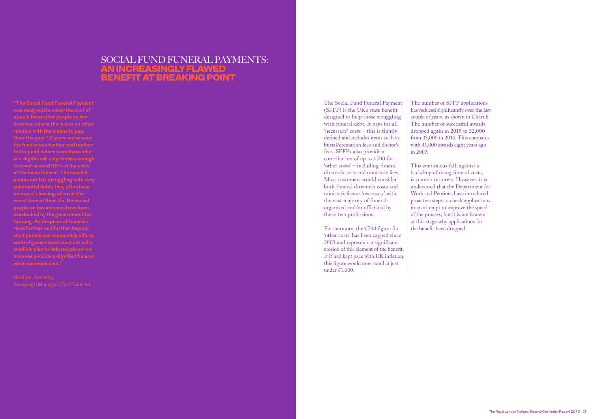# SOCIAL FUND FUNERAL PAYMENTS: AN INCREASINGLY FLAWED BENEFIT AT BREAKING POINT

**"The Social Fund Funeral Payment was designed to cover the cost of incomes, where there was no other relative with the means to pay. the fund erode further and further to the point where even those who are eligible will only receive enough of the basic funeral. The result is people are left struggling with very substantial debts they often have no way of clearing, often at the worst time of their life. Bereaved people on low incomes have been too long. As the price of funerals rises further and further beyond central government must set out a incomes provide a dignified funeral** 

The Social Fund Funeral Payment (SFFP) is the UK's state benefit designed to help those struggling with funeral debt. It pays for all 'necessary' costs – this is tightly defined and includes items such as burial/cremation fees and doctor's fees. SFFPs also provide a contribution of up to £700 for 'other costs' – including funeral director's costs and minister's fees. Most customers would consider both funeral director's costs and minister's fees as 'necessary' with the vast majority of funerals organised and/or officiated by these two professions.

Furthermore, the £700 figure for 'other costs' has been capped since 2003 and represents a significant erosion of this element of the benefit. If it had kept pace with UK inflation, this figure would now stand at just under £1,000.

The number of SFFP applications has reduced significantly over the last couple of years, as shown in Chart 8. The number of successful awards dropped again in 2015 to 32,000 from 33,000 in 2014. This compares with 41,000 awards eight years ago in 2007.

This continuous fall, against a backdrop of rising funeral costs, is counter intuitive. However, it is understood that the Department for Work and Pensions have introduced proactive steps to check applications in an attempt to improve the speed of the process, but it is not known at this stage why applications for the benefit have dropped.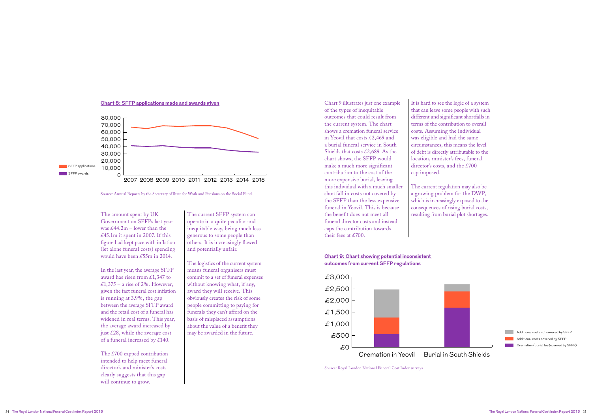

**Chart 8: SFFP applications made and awards given**

Source: Annual Reports by the Secretary of State for Work and Pensions on the Social Fund.

The £700 capped contribution intended to help meet funeral director's and minister's costs clearly suggests that this gap will continue to grow.

The amount spent by UK Government on SFFPs last year was  $\text{\pounds}44.2m$  – lower than the  $\text{\pounds}45.1m$  it spent in 2007. If this figure had kept pace with inflation (let alone funeral costs) spending would have been £55m in 2014.

In the last year, the average SFFP award has risen from £1,347 to £1,375 – a rise of 2%. However, given the fact funeral cost inflation is running at 3.9%, the gap between the average SFFP award and the retail cost of a funeral has widened in real terms. This year, the average award increased by just £28, while the average cost of a funeral increased by £140.

£0 Source: Royal London National Funeral Cost Index surveys.



Additional costs not covered by SFFP **Additional costs covered by SFFP Cremation/burial fee (covered by SFFP)** 



The current SFFP system can operate in a quite peculiar and inequitable way, being much less generous to some people than others. It is increasingly flawed and potentially unfair.

The logistics of the current system means funeral organisers must commit to a set of funeral expenses without knowing what, if any, award they will receive. This obviously creates the risk of some people committing to paying for funerals they can't afford on the basis of misplaced assumptions about the value of a benefit they may be awarded in the future.

### **Chart 9: Chart showing potential inconsistent outcomes from current SFFP regulations**

Chart 9 illustrates just one example of the types of inequitable outcomes that could result from the current system. The chart shows a cremation funeral service in Yeovil that costs £2,469 and a burial funeral service in South Shields that costs £2,689. As the chart shows, the SFFP would make a much more significant contribution to the cost of the more expensive burial, leaving this individual with a much smaller shortfall in costs not covered by the SFFP than the less expensive funeral in Yeovil. This is because the benefit does not meet all funeral director costs and instead caps the contribution towards their fees at £700.

It is hard to see the logic of a system that can leave some people with such different and significant shortfalls in terms of the contribution to overall costs. Assuming the individual was eligible and had the same circumstances, this means the level of debt is directly attributable to the location, minister's fees, funeral director's costs, and the £700 cap imposed.

The current regulation may also be a growing problem for the DWP, which is increasingly exposed to the consequences of rising burial costs, resulting from burial plot shortages.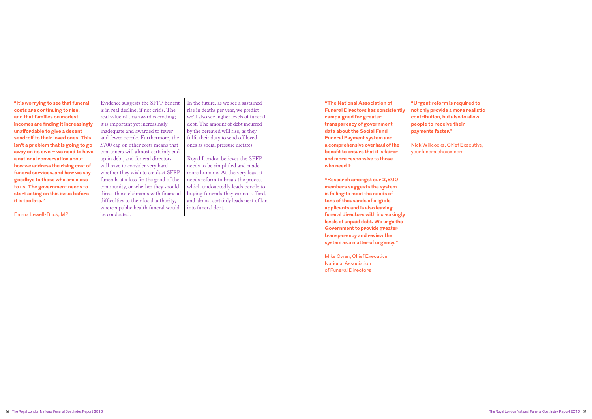Evidence suggests the SFFP benefit is in real decline, if not crisis. The real value of this award is eroding; it is important yet increasingly inadequate and awarded to fewer and fewer people. Furthermore, the  $£700$  cap on other costs means that consumers will almost certainly end up in debt, and funeral directors will have to consider very hard whether they wish to conduct SFFP funerals at a loss for the good of the community, or whether they should direct those claimants with financial difficulties to their local authority, where a public health funeral would be conducted.

In the future, as we see a sustained rise in deaths per year, we predict we'll also see higher levels of funeral debt. The amount of debt incurred by the bereaved will rise, as they fulfil their duty to send off loved ones as social pressure dictates.

Royal London believes the SFFP needs to be simplified and made more humane. At the very least it needs reform to break the process which undoubtedly leads people to buying funerals they cannot afford, and almost certainly leads next of kin into funeral debt.

**"The National Association of Funeral Directors has consistently campaigned for greater transparency of government data about the Social Fund Funeral Payment system and a comprehensive overhaul of the benefit to ensure that it is fairer and more responsive to those who need it.**

**"Research amongst our 3,800 members suggests the system is failing to meet the needs of tens of thousands of eligible applicants and is also leaving funeral directors with increasingly levels of unpaid debt. We urge the Government to provide greater transparency and review the system as a matter of urgency."**

Mike Owen, Chief Executive, National Association of Funeral Directors

**"Urgent reform is required to not only provide a more realistic contribution, but also to allow people to receive their payments faster."** 

Nick Willcocks, Chief Executive, yourfuneralchoice.com

**"It's worrying to see that funeral costs are continuing to rise, and that families on modest incomes are finding it increasingly unaffordable to give a decent send-off to their loved ones. This isn't a problem that is going to go away on its own – we need to have a national conversation about how we address the rising cost of funeral services, and how we say goodbye to those who are close to us. The government needs to start acting on this issue before it is too late."**

Emma Lewell-Buck, MP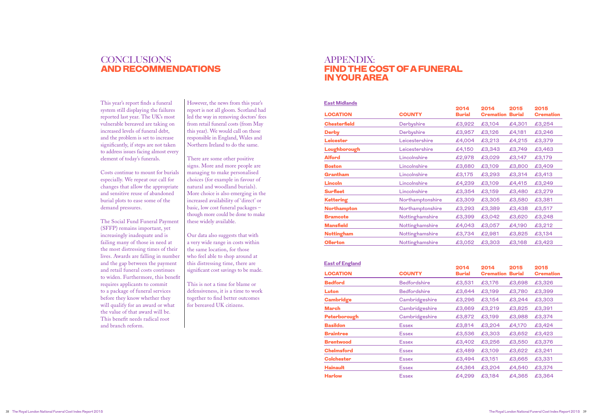This year's report finds a funeral system still displaying the failures reported last year. The UK's most vulnerable bereaved are taking on increased levels of funeral debt, and the problem is set to increase significantly, if steps are not taken to address issues facing almost every element of today's funerals.

Costs continue to mount for burials especially. We repeat our call for changes that allow the appropriate and sensitive reuse of abandoned burial plots to ease some of the demand pressures.

The Social Fund Funeral Payment (SFFP) remains important, yet increasingly inadequate and is failing many of those in need at the most distressing times of their lives. Awards are falling in number and the gap between the payment and retail funeral costs continues to widen. Furthermore, this benefit requires applicants to commit to a package of funeral services before they know whether they will qualify for an award or what the value of that award will be. This benefit needs radical root and branch reform.

# **CONCLUSIONS** AND RECOMMENDATIONS

However, the news from this year's report is not all gloom. Scotland had led the way in removing doctors' fees from retail funeral costs (from May this year). We would call on those responsible in England, Wales and Northern Ireland to do the same.

There are some other positive signs. More and more people are managing to make personalised choices (for example in favour of natural and woodland burials). More choice is also emerging in the increased availability of 'direct' or basic, low cost funeral packages – though more could be done to make these widely available.

Our data also suggests that with a very wide range in costs within the same location, for those who feel able to shop around at this distressing time, there are significant cost savings to be made.

This is not a time for blame or defensiveness, it is a time to work together to find better outcomes for bereaved UK citizens.

# APPENDIX: FIND THE COST OF A FUNERAL IN YOUR AREA

| <b>LOCATION</b>     | <b>COUNTY</b>    | 2014<br><b>Burial</b> | 2014<br><b>Cremation</b> | 2015<br><b>Burial</b> | 2015<br><b>Cremation</b> |
|---------------------|------------------|-----------------------|--------------------------|-----------------------|--------------------------|
| <b>Chesterfield</b> | Derbyshire       | £3,922                | £3,104                   | £4,301                | £3,254                   |
| <b>Derby</b>        | Derbyshire       | £3,957                | £3,126                   | £4,181                | £3,246                   |
| Leicester           | Leicestershire   | £4,004                | £3,213                   | £4,215                | £3,379                   |
| Loughborough        | Leicestershire   | £4,150                | £3,343                   | £3,749                | £3,463                   |
| <b>Alford</b>       | Lincolnshire     | £2,978                | £3,029                   | £3,147                | £3,179                   |
| <b>Boston</b>       | Lincolnshire     | £3,680                | £3,109                   | £3,800                | £3,409                   |
| Grantham            | Lincolnshire     | £3,175                | £3,293                   | £3,314                | £3,413                   |
| Lincoln             | Lincolnshire     | £4,239                | £3,109                   | £4,415                | £3,249                   |
| <b>Surfleet</b>     | Lincolnshire     | £3,354                | £3,159                   | £3,480                | £3,279                   |
| <b>Kettering</b>    | Northamptonshire | £3,309                | £3,305                   | £3,580                | £3,381                   |
| <b>Northampton</b>  | Northamptonshire | £3,293                | £3,389                   | £3,438                | £3,517                   |
| <b>Bramcote</b>     | Nottinghamshire  | £3,399                | £3,042                   | £3,620                | £3,248                   |
| <b>Mansfield</b>    | Nottinghamshire  | £4,043                | £3,057                   | £4,190                | £3,212                   |
| <b>Nottingham</b>   | Nottinghamshire  | £3,734                | £2,981                   | £3,825                | £3,134                   |
| Ollerton            | Nottinghamshire  | £3,052                | £3,303                   | £3,168                | £3,423                   |

### **East Midlands**

|                   |                     | 2014          | 2014                    | 2015   | 2015             |
|-------------------|---------------------|---------------|-------------------------|--------|------------------|
| <b>LOCATION</b>   | <b>COUNTY</b>       | <b>Burial</b> | <b>Cremation Burial</b> |        | <b>Cremation</b> |
| <b>Bedford</b>    | <b>Bedfordshire</b> | £3,531        | £3,176                  | £3,698 | £3,326           |
| Luton             | <b>Bedfordshire</b> | £3,644        | £3,199                  | £3,780 | £3,399           |
| <b>Cambridge</b>  | Cambridgeshire      | £3,296        | £3,154                  | £3,244 | £3,303           |
| March             | Cambridgeshire      | £3,669        | £3,219                  | £3,825 | £3,391           |
| Peterborough      | Cambridgeshire      | £3,872        | £3,199                  | £3,988 | £3,374           |
| <b>Basildon</b>   | <b>Essex</b>        | £3,814        | £3,204                  | £4,170 | £3,424           |
| <b>Braintree</b>  | <b>Essex</b>        | £3,536        | £3,303                  | £3,652 | £3,423           |
| <b>Brentwood</b>  | <b>Essex</b>        | £3,402        | £3,256                  | £3,550 | £3,376           |
| <b>Chelmsford</b> | <b>Essex</b>        | £3,489        | £3,109                  | £3,622 | £3,241           |
| <b>Colchester</b> | <b>Essex</b>        | £3,494        | £3,151                  | £3,665 | £3,331           |
| <b>Hainault</b>   | <b>Essex</b>        | £4,364        | £3,204                  | £4,540 | £3,374           |
| <b>Harlow</b>     | <b>Essex</b>        | £4,299        | £3,184                  | £4,365 | £3,364           |

### **East of England**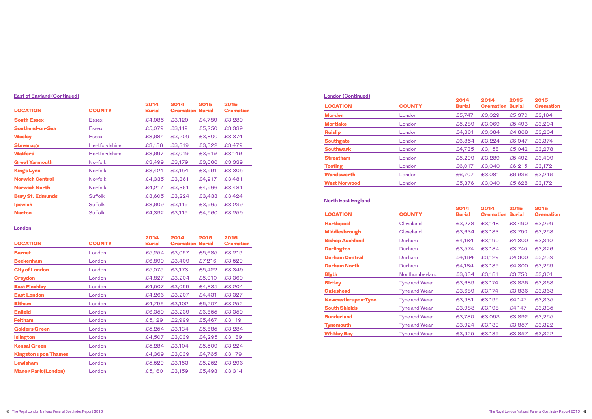| <b>LOCATION</b>         | <b>COUNTY</b>  | 2014<br><b>Burial</b> | 2014<br><b>Cremation</b> | 2015<br><b>Burial</b> | 2015<br><b>Cremation</b> |
|-------------------------|----------------|-----------------------|--------------------------|-----------------------|--------------------------|
| <b>South Essex</b>      | <b>Essex</b>   | £4,985                | £3,129                   | £4,789                | £3,289                   |
| <b>Southend-on-Sea</b>  | <b>Essex</b>   | £5,079                | £3,119                   | £5,250                | £3,339                   |
| <b>Weeley</b>           | <b>Essex</b>   | £3,684                | £3,209                   | £3,800                | £3,374                   |
| <b>Stevenage</b>        | Hertfordshire  | £3,186                | £3,319                   | £3,322                | £3,479                   |
| <b>Watford</b>          | Hertfordshire  | £3,697                | £3,019                   | £3,619                | £3,149                   |
| <b>Great Yarmouth</b>   | <b>Norfolk</b> | £3,499                | £3,179                   | £3,666                | £3,339                   |
| <b>Kings Lynn</b>       | <b>Norfolk</b> | £3,424                | £3,154                   | £3,591                | £3,305                   |
| <b>Norwich Central</b>  | <b>Norfolk</b> | £4,335                | £3,361                   | £4,917                | £3,481                   |
| <b>Norwich North</b>    | <b>Norfolk</b> | £4,217                | £3,361                   | £4,566                | £3,481                   |
| <b>Bury St. Edmunds</b> | Suffolk        | £3,605                | £3,224                   | £3,433                | £3,424                   |
| <b>Ipswich</b>          | Suffolk        | £3,609                | £3,119                   | £3,965                | £3,239                   |
| <b>Nacton</b>           | <b>Suffolk</b> | £4,392                | £3,119                   | £4,560                | £3,259                   |

# **East of England (Continued)**

| <b>LOCATION</b>             | <b>COUNTY</b> | 2014<br><b>Burial</b> | 2014<br><b>Cremation</b> | 2015<br><b>Burial</b> | 2015<br><b>Cremation</b> |
|-----------------------------|---------------|-----------------------|--------------------------|-----------------------|--------------------------|
| <b>Barnet</b>               | London        | £5,254                | £3,097                   | £5,685                | £3,219                   |
| <b>Beckenham</b>            | London        | £6,899                | £3,409                   | £7,216                | £3,529                   |
| <b>City of London</b>       | London        | £5,075                | £3,173                   | £5,422                | £3,349                   |
| <b>Croydon</b>              | London        | £4,827                | £3,204                   | £5,010                | £3,369                   |
| <b>East Finchley</b>        | London        | £4,507                | £3,059                   | £4,835                | £3,204                   |
| <b>East London</b>          | London        | £4,266                | £3,207                   | £4,431                | £3,327                   |
| <b>Eltham</b>               | London        | £4,796                | £3,102                   | £5,207                | £3,252                   |
| <b>Enfield</b>              | London        | £6,359                | £3,239                   | £6,655                | £3,359                   |
| <b>Feltham</b>              | London        | £5,129                | £2,999                   | £5,467                | £3,119                   |
| <b>Golders Green</b>        | London        | £5,254                | £3,134                   | £5,685                | £3,284                   |
| <b>Islington</b>            | London        | £4,507                | £3,039                   | £4,295                | £3,189                   |
| <b>Kensal Green</b>         | London        | £5,284                | £3,104                   | £5,509                | £3,224                   |
| <b>Kingston upon Thames</b> | London        | £4,369                | £3,039                   | £4,765                | £3,179                   |
| <b>Lewisham</b>             | London        | £5,529                | £3,153                   | £5,252                | £3,296                   |
| <b>Manor Park (London)</b>  | London        | £5,160                | £3,159                   | £5,493                | £3,314                   |

### **London**

| London (Continued)  |               | 2014          | 2014             | 2015          | 2015             |
|---------------------|---------------|---------------|------------------|---------------|------------------|
| <b>LOCATION</b>     | <b>COUNTY</b> | <b>Burial</b> | <b>Cremation</b> | <b>Burial</b> | <b>Cremation</b> |
| <b>Morden</b>       | London        | £5,747        | £3,029           | £5,370        | £3,164           |
| <b>Mortlake</b>     | London        | £5,289        | £3,069           | £5,493        | £3,204           |
| <b>Ruislip</b>      | London        | £4,861        | £3,084           | £4,868        | £3,204           |
| <b>Southgate</b>    | London        | £6,854        | £3,224           | £6,947        | £3,374           |
| <b>Southwark</b>    | London        | £4,735        | £3,158           | £5,042        | £3,278           |
| <b>Streatham</b>    | London        | £5,299        | £3,289           | £5,492        | £3,409           |
| <b>Tooting</b>      | London        | £6,017        | £3,040           | £6,215        | £3,172           |
| <b>Wandsworth</b>   | London        | £6,707        | £3,081           | £6,936        | £3,216           |
| <b>West Norwood</b> | London        | £5,376        | £3,040           | £5,628        | £3,172           |
|                     |               |               |                  |               |                  |

# **London (Continued)**

| <b>LOCATION</b>            | <b>COUNTY</b>        | 2014<br><b>Burial</b> | 2014<br><b>Cremation</b> | 2015<br><b>Burial</b> | 2015<br><b>Cremation</b> |
|----------------------------|----------------------|-----------------------|--------------------------|-----------------------|--------------------------|
| <b>Hartlepool</b>          | Cleveland            | £3,278                | £3,148                   | £3,490                | £3,299                   |
| Middlesbrough              | Cleveland            | £3,634                | £3,133                   | £3,750                | £3,253                   |
| <b>Bishop Auckland</b>     | Durham               | £4,184                | £3,190                   | £4,300                | £3,310                   |
| <b>Darlington</b>          | Durham               | £3,574                | £3,184                   | £3,740                | £3,326                   |
| <b>Durham Central</b>      | Durham               | £4,184                | £3,129                   | £4,300                | £3,239                   |
| <b>Durham North</b>        | Durham               | £4,184                | £3,139                   | £4,300                | £3,259                   |
| <b>Blyth</b>               | Northumberland       | £3,634                | £3,181                   | £3,750                | £3,301                   |
| <b>Birtley</b>             | <b>Tyne and Wear</b> | £3,689                | £3,174                   | £3,836                | £3,363                   |
| <b>Gateshead</b>           | <b>Tyne and Wear</b> | £3,689                | £3,174                   | £3,836                | £3,363                   |
| <b>Newcastle-upon-Tyne</b> | <b>Tyne and Wear</b> | £3,981                | £3,195                   | £4,147                | £3,335                   |
| <b>South Shields</b>       | <b>Tyne and Wear</b> | £3,988                | £3,198                   | £4,147                | £3,335                   |
| <b>Sunderland</b>          | <b>Tyne and Wear</b> | £3,780                | £3,093                   | £3,892                | £3,255                   |
| <b>Tynemouth</b>           | <b>Tyne and Wear</b> | £3,924                | £3,139                   | £3,857                | £3,322                   |
| <b>Whitley Bay</b>         | <b>Tyne and Wear</b> | £3,925                | £3,139                   | £3,857                | £3,322                   |

### **North East England**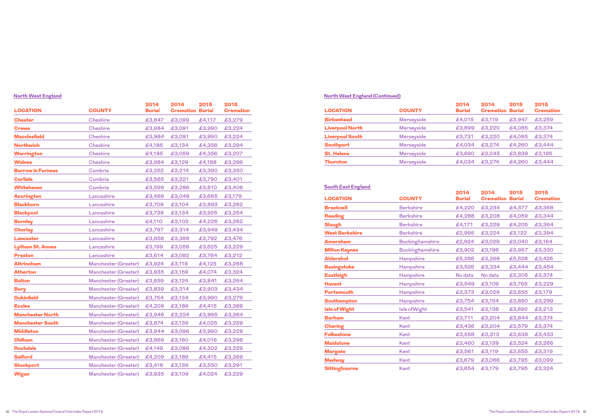| <b>LOCATION</b>          | <b>COUNTY</b>        | 2014<br><b>Burial</b> | 2014<br><b>Cremation Burial</b> | 2015   | 2015<br><b>Cremation</b> |
|--------------------------|----------------------|-----------------------|---------------------------------|--------|--------------------------|
|                          |                      |                       |                                 |        |                          |
| <b>Chester</b>           | <b>Cheshire</b>      | £3,847                | £3,099                          | £4,117 | £3,279                   |
| <b>Crewe</b>             | <b>Cheshire</b>      | £3,984                | £3,091                          | £3,990 | £3,224                   |
| <b>Macclesfield</b>      | <b>Cheshire</b>      | £3,984                | £3,091                          | £3,990 | £3,224                   |
| <b>Northwich</b>         | <b>Cheshire</b>      | £4,185                | £3,134                          | £4,356 | £3,294                   |
| <b>Warrington</b>        | <b>Cheshire</b>      | £4,185                | £3,059                          | £4,356 | £3,207                   |
| <b>Widnes</b>            | <b>Cheshire</b>      | £3,984                | £3,129                          | £4,188 | £3,266                   |
| <b>Barrow in Furness</b> | Cumbria              | £3,252                | £3,214                          | £3,390 | £3,350                   |
| <b>Carlisle</b>          | Cumbria              | £3,565                | £3,221                          | £3,790 | £3,401                   |
| <b>Whitehaven</b>        | Cumbria              | £3,599                | £3,286                          | £3,810 | £3,406                   |
| <b>Accrington</b>        | Lancashire           | £3,469                | £3,049                          | £3,665 | £3,179                   |
| <b>Blackburn</b>         | Lancashire           | £3,709                | £3,104                          | £3,893 | £3,262                   |
| <b>Blackpool</b>         | Lancashire           | £3,739                | £3,134                          | £3,925 | £3,254                   |
| <b>Burnley</b>           | Lancashire           | £4,110                | £3,103                          | £4,226 | £3,262                   |
| <b>Chorley</b>           | Lancashire           | £3,797                | £3,314                          | £3,949 | £3,434                   |
| Lancaster                | Lancashire           | £3,656                | £3,356                          | £3,792 | £3,476                   |
| <b>Lytham St. Annes</b>  | Lancashire           | £3,199                | £3,059                          | £3,625 | £3,229                   |
| <b>Preston</b>           | Lancashire           | £3,614                | £3,092                          | £3,764 | £3,212                   |
| <b>Altrincham</b>        | Manchester (Greater) | £3,924                | £3,119                          | £4,125 | £3,268                   |
| <b>Atherton</b>          | Manchester (Greater) | £3,935                | £3,159                          | £4,074 | £3,324                   |
| <b>Bolton</b>            | Manchester (Greater) | £3,659                | £3,124                          | £3,841 | £3,264                   |
| <b>Bury</b>              | Manchester (Greater) | £3,839                | £3,314                          | £3,903 | £3,434                   |
| <b>Dukinfield</b>        | Manchester (Greater) | £3,754                | £3,134                          | £3,990 | £3,279                   |
| <b>Eccles</b>            | Manchester (Greater) | £4,209                | £3,189                          | £4,415 | £3,369                   |
| <b>Manchester North</b>  | Manchester (Greater) | £3,946                | £3,224                          | £3,995 | £3,364                   |
| <b>Manchester South</b>  | Manchester (Greater) | £3,874                | £3,139                          | £4,025 | £3,259                   |
| <b>Middleton</b>         | Manchester (Greater) | £3,944                | £3,096                          | £3,990 | £3,229                   |
| <b>Oldham</b>            | Manchester (Greater) | £3,869                | £3,160                          | £4,016 | £3,296                   |
| <b>Rochdale</b>          | Manchester (Greater) | £4,149                | £3,096                          | £4,302 | £3,229                   |
| <b>Salford</b>           | Manchester (Greater) | £4,209                | £3,189                          | £4,415 | £3,369                   |
| <b>Stockport</b>         | Manchester (Greater) | £3,416                | £3,139                          | £3,550 | £3,291                   |
| <b>Wigan</b>             | Manchester (Greater) | £3,935                | £3,109                          | £4,024 | £3,229                   |

# **North West England**

| <b>LOCATION</b>        | <b>COUNTY</b> | 2014<br><b>Burial</b> | 2014<br><b>Cremation Burial</b> | 2015   | 2015<br><b>Cremation</b> |
|------------------------|---------------|-----------------------|---------------------------------|--------|--------------------------|
| <b>Birkenhead</b>      | Merseyside    | £4,015                | £3,119                          | £3,947 | £3,259                   |
| <b>Liverpool North</b> | Merseyside    | £3,899                | £3,220                          | £4,085 | £3,374                   |
| <b>Liverpool South</b> | Merseyside    | £3,731                | £3,220                          | £4,085 | £3,374                   |
| Southport              | Merseyside    | £4,034                | £3,274                          | £4,260 | £3,444                   |
| <b>St. Helens</b>      | Merseyside    | £3,690                | £3,045                          | £3,839 | £3,195                   |
| Thornton               | Merseyside    | £4,034                | £3,274                          | £4,260 | £3,444                   |

# **North West England (Continued)**

|                       |                        | 2014          | 2014                    | 2015   | 2015             |
|-----------------------|------------------------|---------------|-------------------------|--------|------------------|
| <b>LOCATION</b>       | <b>COUNTY</b>          | <b>Burial</b> | <b>Cremation Burial</b> |        | <b>Cremation</b> |
| <b>Bracknell</b>      | <b>Berkshire</b>       | £4,220        | £3,234                  | £4,377 | £3,368           |
| <b>Reading</b>        | <b>Berkshire</b>       | £4,288        | £3,208                  | £4,059 | £3,344           |
| <b>Slough</b>         | <b>Berkshire</b>       | £4,171        | £3,229                  | £4,205 | £3,364           |
| <b>West Berkshire</b> | <b>Berkshire</b>       | £2,995        | £3,224                  | £3,122 | £3,394           |
| <b>Amersham</b>       | <b>Buckinghamshire</b> | £2,924        | £3,029                  | £3,040 | £3,164           |
| <b>Milton Keynes</b>  | <b>Buckinghamshire</b> | £3,902        | £3,196                  | £3,957 | £3,330           |
| <b>Aldershot</b>      | Hampshire              | £5,266        | £3,269                  | £5,528 | £3,426           |
| <b>Basingstoke</b>    | Hampshire              | £3,526        | £3,334                  | £3,444 | £3,454           |
| <b>Eastleigh</b>      | Hampshire              | No data       | No data                 | £3,305 | £3,374           |
| <b>Havant</b>         | Hampshire              | £3,549        | £3,109                  | £3,765 | £3,229           |
| <b>Portsmouth</b>     | Hampshire              | £3,373        | £3,029                  | £3,655 | £3,179           |
| <b>Southampton</b>    | Hampshire              | £3,754        | £3,154                  | £3,880 | £3,299           |
| <b>Isle of Wight</b>  | Isle of Wight          | £3,541        | £3,138                  | £3,692 | £3,213           |
| <b>Barham</b>         | Kent                   | £3,711        | £3,204                  | £3,844 | £3,374           |
| <b>Charing</b>        | Kent                   | £3,436        | £3,204                  | £3,579 | £3,374           |
| <b>Folkestone</b>     | Kent                   | £3,558        | £3,313                  | £3,638 | £3,433           |
| <b>Maidstone</b>      | Kent                   | £3,460        | £3,139                  | £3,524 | £3,266           |
| <b>Margate</b>        | Kent                   | £3,561        | £3,119                  | £3,655 | £3,319           |
| <b>Medway</b>         | Kent                   | £3,679        | £3,066                  | £3,795 | £3,099           |
| <b>Sittingbourne</b>  | Kent                   | £3,654        | £3,179                  | £3,795 | £3,324           |

## **South East England**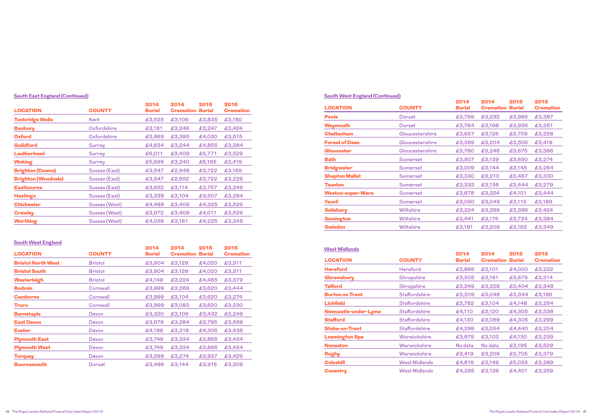| <b>LOCATION</b>            | <b>COUNTY</b> | 2014<br><b>Burial</b> | 2014<br><b>Cremation</b> | 2015<br><b>Burial</b> | 2015<br><b>Cremation</b> |
|----------------------------|---------------|-----------------------|--------------------------|-----------------------|--------------------------|
| <b>Tunbridge Wells</b>     | Kent          | £3,525                | £3,106                   | £3,835                | £3,180                   |
| <b>Banbury</b>             | Oxfordshire   | £3,181                | £3,246                   | £3,247                | £3,424                   |
| <b>Oxford</b>              | Oxfordshire   | £3,869                | £3,395                   | £4,030                | £3,515                   |
| <b>Guildford</b>           | <b>Surrey</b> | £4,634                | £3,244                   | £4,855                | £3,384                   |
| Leatherhead                | Surrey        | £6,011                | £3,409                   | £5,771                | £3,529                   |
| <b>Woking</b>              | Surrey        | £5,699                | £3,240                   | £6,165                | £3,419                   |
| <b>Brighton (Downs)</b>    | Sussex (East) | £3,547                | £2,948                   | £3,722                | £3,169                   |
| <b>Brighton (Woodvale)</b> | Sussex (East) | £3,547                | £2,952                   | £3,722                | £3,229                   |
| <b>Eastbourne</b>          | Sussex (East) | £3,652                | £3,114                   | £3,757                | £3,249                   |
| <b>Hastings</b>            | Sussex (East) | £3,338                | £3,104                   | £3,507                | £3,284                   |
| <b>Chichester</b>          | Sussex (West) | £4,489                | £3,409                   | £4,325                | £3,529                   |
| <b>Crawley</b>             | Sussex (West) | £3,972                | £3,409                   | £4,011                | £3,529                   |
| <b>Worthing</b>            | Sussex (West) | £4,059                | £3,161                   | £4,225                | £3,345                   |

# **South East England (Continued)**

| <b>LOCATION</b>           | <b>COUNTY</b>  | 2014<br><b>Burial</b> | 2014<br><b>Cremation</b> | 2015<br><b>Burial</b> | 2015<br><b>Cremation</b> |
|---------------------------|----------------|-----------------------|--------------------------|-----------------------|--------------------------|
| <b>Bristol North West</b> | <b>Bristol</b> | £3,904                | £3,129                   | £4,020                | £3,311                   |
| <b>Bristol South</b>      | <b>Bristol</b> | £3,904                | £3,129                   | £4,020                | £3,311                   |
| Westerleigh               | <b>Bristol</b> | £4,149                | £3,224                   | £4,465                | £3,379                   |
| <b>Bodmin</b>             | Cornwall       | £3,999                | £3,269                   | £3,620                | £3,444                   |
| <b>Camborne</b>           | Cornwall       | £3,999                | £3,104                   | £3,620                | £3,274                   |
| <b>Truro</b>              | Cornwall       | £3,999                | £3,083                   | £3,620                | £3,230                   |
| <b>Barnstaple</b>         | Devon          | £3,320                | £3,109                   | £3,432                | £3,249                   |
| <b>East Devon</b>         | Devon          | £3,679                | £3,284                   | £3,795                | £3,459                   |
| <b>Exeter</b>             | Devon          | £4,189                | £3,318                   | £4,305                | £3,438                   |
| <b>Plymouth East</b>      | Devon          | £3,749                | £3,334                   | £3,865                | £3,454                   |
| <b>Plymouth West</b>      | Devon          | £3,749                | £3,334                   | £3,865                | £3,454                   |
| <b>Torquay</b>            | Devon          | £3,599                | £3,274                   | £3,937                | £3,429                   |
| <b>Bournemouth</b>        | Dorset         | £3,486                | £3,144                   | £3,915                | £3,309                   |

# **South West England**

|                          |                 | 2014          | 2014                    | 2015   | 2015             |
|--------------------------|-----------------|---------------|-------------------------|--------|------------------|
| <b>LOCATION</b>          | <b>COUNTY</b>   | <b>Burial</b> | <b>Cremation Burial</b> |        | <b>Cremation</b> |
| <b>Poole</b>             | Dorset          | £3,799        | £3,232                  | £3,995 | £3,387           |
| Weymouth                 | Dorset          | £3,784        | £3,198                  | £3,936 | £3,351           |
| <b>Cheltenham</b>        | Gloucestershire | £3,657        | £3,126                  | £3,709 | £3,258           |
| <b>Forest of Dean</b>    | Gloucestershire | £3,369        | £3,204                  | £3,505 | £3,419           |
| Gloucester               | Gloucestershire | £3,780        | £3,246                  | £3,675 | £3,366           |
| <b>Bath</b>              | Somerset        | £3,507        | £3,139                  | £3,650 | £3,274           |
| <b>Bridgwater</b>        | Somerset        | £3,009        | £3,144                  | £3,145 | £3,264           |
| <b>Shepton Mallet</b>    | Somerset        | £3,330        | £3,210                  | £3,467 | £3,330           |
| <b>Taunton</b>           | Somerset        | £3,333        | £3,136                  | £3,444 | £3,279           |
| <b>Weston-super-Mare</b> | Somerset        | £3,878        | £3,324                  | £4,101 | £3,444           |
| <b>Yeovil</b>            | Somerset        | £3,050        | £3,049                  | £3,115 | £3,189           |
| <b>Salisbury</b>         | Wiltshire       | £3,224        | £3,269                  | £3,396 | £3,424           |
| <b>Semington</b>         | Wiltshire       | £3,441        | £3,174                  | £3,724 | £3,384           |
| <b>Swindon</b>           | Wiltshire       | £3,181        | £3,209                  | £3,162 | £3,349           |
|                          |                 |               |                         |        |                  |

## **South West England (Continued)**

| <b>VVGSLIVIIUIAIIUS</b> |                      | 2014          | 2014             | 2015          | 2015             |
|-------------------------|----------------------|---------------|------------------|---------------|------------------|
| <b>LOCATION</b>         | <b>COUNTY</b>        | <b>Burial</b> | <b>Cremation</b> | <b>Burial</b> | <b>Cremation</b> |
| <b>Hereford</b>         | <b>Hereford</b>      | £3,866        | £3,101           | £4,000        | £3,232           |
| <b>Shrewsbury</b>       | Shropshire           | £3,505        | £3,161           | £3,679        | £3,314           |
| <b>Telford</b>          | Shropshire           | £3,249        | £3,228           | £3,404        | £3,348           |
| <b>Burton on Trent</b>  | <b>Staffordshire</b> | £3,209        | £3,048           | £3,344        | £3,195           |
| <b>Lichfield</b>        | <b>Staffordshire</b> | £3,782        | £3,104           | £4,148        | £3,254           |
| Newcastle-under-Lyme    | <b>Staffordshire</b> | £4,110        | £3,120           | £4,305        | £3,338           |
| <b>Stafford</b>         | Staffordshire        | £4,130        | £3,089           | £4,305        | £3,299           |
| <b>Stoke-on-Trent</b>   | Staffordshire        | £4,299        | £3,054           | £4,440        | £3,204           |
| <b>Leamington Spa</b>   | Warwickshire         | £3,979        | £3,103           | £4,130        | £3,239           |
| <b>Nuneaton</b>         | Warwickshire         | No data       | No data          | £3,195        | £3,529           |
| <b>Rugby</b>            | Warwickshire         | £3,419        | £3,209           | £3,705        | £3,379           |
| <b>Coleshill</b>        | <b>West Midlands</b> | £4,819        | £3,149           | £5,035        | £3,289           |
| <b>Coventry</b>         | <b>West Midlands</b> | £4,285        | £3,139           | £4,401        | £3,259           |

#### **West Midlands**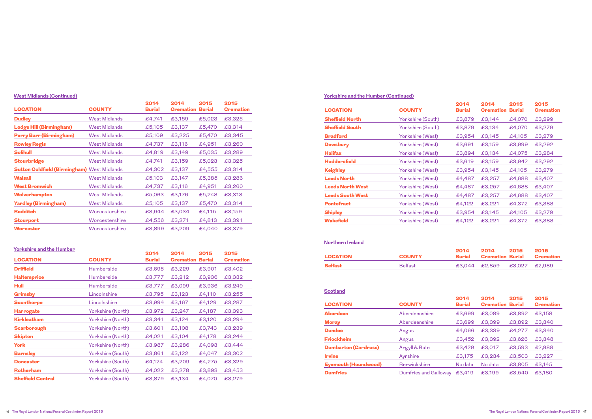| <b>LOCATION</b>                                    | <b>COUNTY</b>        | 2014<br><b>Burial</b> | 2014<br><b>Cremation</b> | 2015<br><b>Burial</b> | 2015<br><b>Cremation</b> |
|----------------------------------------------------|----------------------|-----------------------|--------------------------|-----------------------|--------------------------|
| <b>Dudley</b>                                      | <b>West Midlands</b> | £4,741                | £3,159                   | £5,023                | £3,325                   |
| <b>Lodge Hill (Birmingham)</b>                     | <b>West Midlands</b> | £5,105                | £3,137                   | £5,470                | £3,314                   |
| <b>Perry Barr (Birmingham)</b>                     | <b>West Midlands</b> | £5,109                | £3,225                   | £5,470                | £3,345                   |
| <b>Rowley Regis</b>                                | <b>West Midlands</b> | £4,737                | £3,116                   | £4,951                | £3,260                   |
| <b>Solihull</b>                                    | <b>West Midlands</b> | £4,819                | £3,149                   | £5,035                | £3,289                   |
| <b>Stourbridge</b>                                 | <b>West Midlands</b> | £4,741                | £3,159                   | £5,023                | £3,325                   |
| <b>Sutton Coldfield (Birmingham) West Midlands</b> |                      | £4,302                | £3,137                   | £4,555                | £3,314                   |
| <b>Walsall</b>                                     | <b>West Midlands</b> | £5,103                | £3,147                   | £5,385                | £3,286                   |
| <b>West Bromwich</b>                               | <b>West Midlands</b> | £4,737                | £3,116                   | £4,951                | £3,260                   |
| Wolverhampton                                      | <b>West Midlands</b> | £5,063                | £3,176                   | £5,248                | £3,313                   |
| <b>Yardley (Birmingham)</b>                        | <b>West Midlands</b> | £5,105                | £3,137                   | £5,470                | £3,314                   |
| <b>Redditch</b>                                    | Worcestershire       | £3,944                | £3,034                   | £4,115                | £3,159                   |
| <b>Stourport</b>                                   | Worcestershire       | £4,556                | £3,271                   | £4,813                | £3,391                   |
| Worcester                                          | Worcestershire       | £3,899                | £3,209                   | £4,040                | £3,379                   |

### **West Midlands (Continued)**

| <b>LOCATION</b>          | <b>COUNTY</b>     | 2014<br><b>Burial</b> | 2014<br><b>Cremation</b> | 2015<br><b>Burial</b> | 2015<br><b>Cremation</b> |
|--------------------------|-------------------|-----------------------|--------------------------|-----------------------|--------------------------|
| <b>Driffield</b>         | <b>Humberside</b> | £3,695                | £3,229                   | £3,901                | £3,402                   |
| <b>Haltemprice</b>       | <b>Humberside</b> | £3,777                | £3,212                   | £3,936                | £3,332                   |
| Hull                     | <b>Humberside</b> | £3,777                | £3,099                   | £3,936                | £3,249                   |
| Grimsby                  | Lincolnshire      | £3,795                | £3,123                   | £4,110                | £3,255                   |
| <b>Scunthorpe</b>        | Lincolnshire      | £3,994                | £3,167                   | £4,129                | £3,287                   |
| <b>Harrogate</b>         | Yorkshire (North) | £3,972                | £3,247                   | £4,187                | £3,393                   |
| <b>Kirkleatham</b>       | Yorkshire (North) | £3,341                | £3,124                   | £3,120                | £3,294                   |
| <b>Scarborough</b>       | Yorkshire (North) | £3,601                | £3,108                   | £3,743                | £3,239                   |
| <b>Skipton</b>           | Yorkshire (North) | £4,021                | £3,104                   | £4,178                | £3,244                   |
| <b>York</b>              | Yorkshire (North) | £3,987                | £3,286                   | £4,093                | £3,444                   |
| <b>Barnsley</b>          | Yorkshire (South) | £3,861                | £3,122                   | £4,047                | £3,302                   |
| <b>Doncaster</b>         | Yorkshire (South) | £4,124                | £3,209                   | £4,275                | £3,329                   |
| <b>Rotherham</b>         | Yorkshire (South) | £4,022                | £3,278                   | £3,893                | £3,453                   |
| <b>Sheffield Central</b> | Yorkshire (South) | £3,879                | £3,134                   | £4,070                | £3,279                   |

# **Yorkshire and the Humber**

| <b>LOCATION</b>         | <b>COUNTY</b>     | 2014<br><b>Burial</b> | 2014<br><b>Cremation</b> | 2015<br><b>Burial</b> | 2015<br><b>Cremation</b> |
|-------------------------|-------------------|-----------------------|--------------------------|-----------------------|--------------------------|
| <b>Sheffield North</b>  | Yorkshire (South) | £3,879                | £3,144                   | £4,070                | £3,299                   |
| <b>Sheffield South</b>  | Yorkshire (South) | £3,879                | £3,134                   | £4,070                | £3,279                   |
| <b>Bradford</b>         | Yorkshire (West)  | £3,954                | £3,145                   | £4,105                | £3,279                   |
| <b>Dewsbury</b>         | Yorkshire (West)  | £3,691                | £3,159                   | £3,999                | £3,292                   |
| <b>Halifax</b>          | Yorkshire (West)  | £3,894                | £3,134                   | £4,075                | £3,284                   |
| <b>Huddersfield</b>     | Yorkshire (West)  | £3,619                | £3,159                   | £3,942                | £3,292                   |
| <b>Keighley</b>         | Yorkshire (West)  | £3,954                | £3,145                   | £4,105                | £3,279                   |
| <b>Leeds North</b>      | Yorkshire (West)  | £4,487                | £3,257                   | £4,688                | £3,407                   |
| <b>Leeds North West</b> | Yorkshire (West)  | £4,487                | £3,257                   | £4,688                | £3,407                   |
| <b>Leeds South West</b> | Yorkshire (West)  | £4,487                | £3,257                   | £4,688                | £3,407                   |
| <b>Pontefract</b>       | Yorkshire (West)  | £4,122                | £3,221                   | £4,372                | £3,388                   |
| <b>Shipley</b>          | Yorkshire (West)  | £3,954                | £3,145                   | £4,105                | £3,279                   |
| <b>Wakefield</b>        | Yorkshire (West)  | £4,122                | £3,221                   | £4,372                | £3,388                   |

## **Yorkshire and the Humber (Continued)**

| LOCATION       | <b>COUNTY</b>  | 2014<br>Burial | 2014                        | 2015 | 2015<br><b>Cremation Burial Cremation</b> |
|----------------|----------------|----------------|-----------------------------|------|-------------------------------------------|
| <b>Belfast</b> | <b>Belfast</b> |                | £3,044 £2,859 £3,027 £2,989 |      |                                           |

## **Northern Ireland**

| <b>LOCATION</b>             | <b>COUNTY</b>         | 2014<br><b>Burial</b> | 2014<br><b>Cremation Burial</b> | 2015   | 2015<br><b>Cremation</b> |
|-----------------------------|-----------------------|-----------------------|---------------------------------|--------|--------------------------|
| <b>Aberdeen</b>             | Aberdeenshire         | £3,699                | £3,089                          | £3,892 | £3,158                   |
| <b>Moray</b>                | Aberdeenshire         | £3,699                | £3,399                          | £3,892 | £3,340                   |
| <b>Dundee</b>               | Angus                 | £4,066                | £3,339                          | £4,277 | £3,340                   |
| <b>Friockheim</b>           | Angus                 | £3,452                | £3,392                          | £3,626 | £3,348                   |
| <b>Dumbarton (Cardross)</b> | Argyll & Bute         | £3,429                | £3,017                          | £3,593 | £2,988                   |
| <b>Irvine</b>               | Ayrshire              | £3,175                | £3,234                          | £3,503 | £3,227                   |
| <b>Eyemouth (Houndwood)</b> | <b>Berwickshire</b>   | No data               | No data                         | £3,805 | £3,145                   |
| <b>Dumfries</b>             | Dumfries and Galloway | £3,419                | £3,199                          | £3,540 | £3,180                   |

### **Scotland**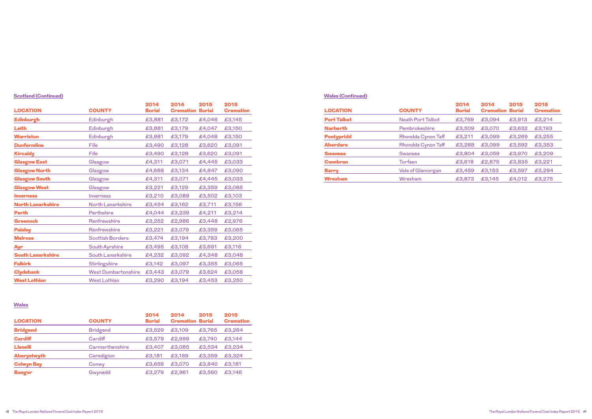| <b>LOCATION</b>          | <b>COUNTY</b>              | 2014<br><b>Burial</b> | 2014<br><b>Cremation Burial</b> | 2015   | 2015<br><b>Cremation</b> |
|--------------------------|----------------------------|-----------------------|---------------------------------|--------|--------------------------|
| <b>Edinburgh</b>         | Edinburgh                  | £3,881                | £3,172                          | £4,046 | £3,145                   |
| Leith                    | Edinburgh                  | £3,881                | £3,179                          | £4,047 | £3,150                   |
| <b>Warriston</b>         | Edinburgh                  | £3,881                | £3,179                          | £4,048 | £3,150                   |
| <b>Dunfermline</b>       | Fife                       | £3,490                | £3,128                          | £3,620 | £3,091                   |
| <b>Kircaldy</b>          | Fife                       | £3,490                | £3,128                          | £3,620 | £3,091                   |
| <b>Glasgow East</b>      | Glasgow                    | £4,311                | £3,071                          | £4,445 | £3,033                   |
| <b>Glasgow North</b>     | Glasgow                    | £4,688                | £3,134                          | £4,847 | £3,090                   |
| <b>Glasgow South</b>     | Glasgow                    | £4,311                | £3,071                          | £4,445 | £3,033                   |
| <b>Glasgow West</b>      | Glasgow                    | £3,221                | £3,129                          | £3,359 | £3,085                   |
| <b>Inverness</b>         | Inverness                  | £3,210                | £3,089                          | £3,502 | £3,103                   |
| <b>North Lanarkshire</b> | North Lanarkshire          | £3,454                | £3,162                          | £3,711 | £3,156                   |
| <b>Perth</b>             | Perthshire                 | £4,044                | £3,239                          | £4,211 | £3,214                   |
| <b>Greenock</b>          | Renfrewshire               | £3,252                | £2,986                          | £3,448 | £2,976                   |
| <b>Paisley</b>           | Renfrewshire               | £3,221                | £3,079                          | £3,359 | £3,065                   |
| <b>Melrose</b>           | <b>Scottish Borders</b>    | £3,474                | £3,194                          | £3,783 | £3,200                   |
| Ayr                      | South Ayrshire             | £3,495                | £3,108                          | £3,691 | £3,116                   |
| <b>South Lanarkshire</b> | South Lanarkshire          | £4,232                | £3,092                          | £4,348 | £3,048                   |
| <b>Falkirk</b>           | Stirlingshire              | £3,142                | £3,097                          | £3,355 | £3,065                   |
| <b>Clydebank</b>         | <b>West Dumbartonshire</b> | £3,443                | £3,079                          | £3,624 | £3,058                   |
| <b>West Lothian</b>      | <b>West Lothian</b>        | £3,290                | £3,194                          | £3,453 | £3,250                   |

# **Scotland (Continued)**

| <b>LOCATION</b>   | <b>COUNTY</b>   | 2014<br><b>Burial</b> | 2014<br><b>Cremation Burial</b> | 2015   | 2015<br><b>Cremation</b> |
|-------------------|-----------------|-----------------------|---------------------------------|--------|--------------------------|
| <b>Bridgend</b>   | <b>Bridgend</b> | £3,529                | £3,109                          | £3,765 | £3,264                   |
| <b>Cardiff</b>    | Cardiff         | £3,579                | £2,999                          | £3,740 | £3,144                   |
| <b>Llanelli</b>   | Carmarthenshire | £3,407                | £3,085                          | £3,534 | £3,234                   |
| Aberystwyth       | Ceredigion      | £3,181                | £3,169                          | £3,359 | £3,324                   |
| <b>Colwyn Bay</b> | Conwy           | £3,659                | £3,070                          | £3,840 | £3,181                   |
| <b>Bangor</b>     | Gwynedd         | £3,279                | £2.961                          | £3,560 | £3,146                   |

### **Wales**

| <b>LOCATION</b>    | <b>COUNTY</b>      | 2014<br><b>Burial</b> | 2014<br><b>Cremation Burial</b> | 2015   | 2015<br><b>Cremation</b> |
|--------------------|--------------------|-----------------------|---------------------------------|--------|--------------------------|
| <b>Port Talbot</b> | Neath Port Talbot  | £3,769                | £3,094                          | £3,913 | £3,214                   |
| <b>Narberth</b>    | Pembrokeshire      | £3,509                | £3,070                          | £3,632 | £3,193                   |
| <b>Pontypridd</b>  | Rhondda Cynon Taff | £3,211                | £3,099                          | £3,269 | £3,255                   |
| <b>Aberdare</b>    | Rhondda Cynon Taff | £3,288                | £3,099                          | £3,592 | £3,353                   |
| <b>Swansea</b>     | <b>Swansea</b>     | £3,804                | £3,059                          | £3,970 | £3,209                   |
| <b>Cwmbran</b>     | Torfaen            | £3,618                | £2,875                          | £3,835 | £3,221                   |
| <b>Barry</b>       | Vale of Glamorgan  | £3,459                | £3,153                          | £3,597 | £3,294                   |
| <b>Wrexham</b>     | Wrexham            | £3,873                | £3,145                          | £4,012 | £3,275                   |

# **Wales (Continued)**